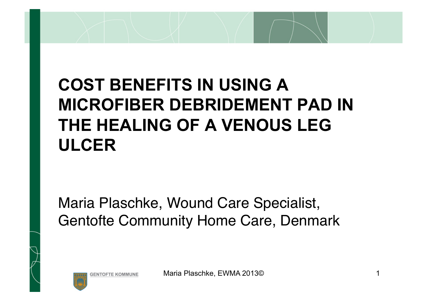# **COST BENEFITS IN USING A MICROFIBER DEBRIDEMENT PAD IN THE HEALING OF A VENOUS LEG ULCER**

Maria Plaschke, Wound Care Specialist, Gentofte Community Home Care, Denmark

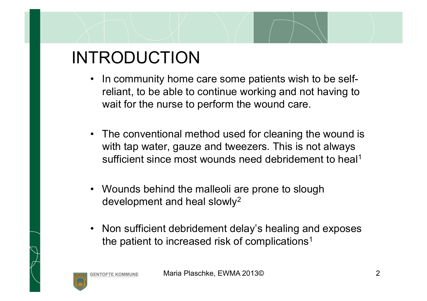# INTRODUCTION

- In community home care some patients wish to be selfreliant, to be able to continue working and not having to wait for the nurse to perform the wound care.
- The conventional method used for cleaning the wound is with tap water, gauze and tweezers. This is not always sufficient since most wounds need debridement to heal<sup>1</sup>
- Wounds behind the malleoli are prone to slough development and heal slowly2
- Non sufficient debridement delay's healing and exposes the patient to increased risk of complications<sup>1</sup>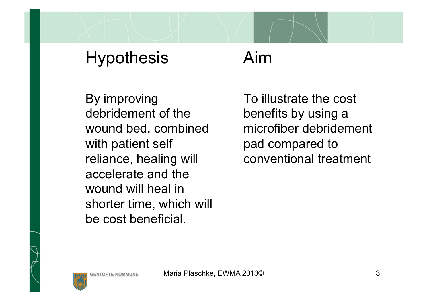### Hypothesis Aim

By improving debridement of the wound bed, combined with patient self reliance, healing will accelerate and the wound will heal in shorter time, which will be cost beneficial.

To illustrate the cost benefits by using a microfiber debridement pad compared to conventional treatment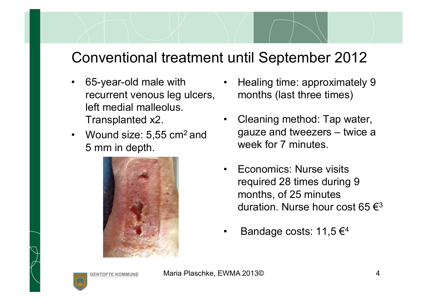### Conventional treatment until September 2012

- recurrent venous leg ulcers, left medial malleolus. Transplanted x2.
- Wound size: 5,55 cm<sup>2</sup> and 5 mm in depth.



- 65-year-old male with Healing time: approximately 9 months (last three times)
	- Cleaning method: Tap water, gauze and tweezers – twice a week for 7 minutes.
	- Economics: Nurse visits required 28 times during 9 months, of 25 minutes duration. Nurse hour cost 65  $\epsilon^3$
	- Bandage costs: 11,5  $\epsilon$ <sup>4</sup>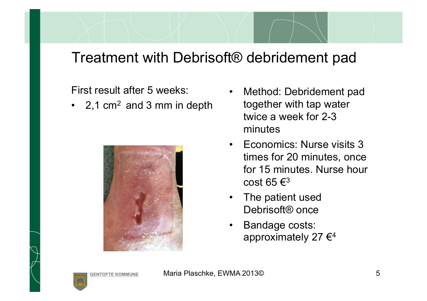### Treatment with Debrisoft® debridement pad

#### First result after 5 weeks:

• 2,1  $cm<sup>2</sup>$  and 3 mm in depth



- Method: Debridement pad together with tap water twice a week for 2-3 minutes
- Economics: Nurse visits 3 times for 20 minutes, once for 15 minutes. Nurse hour cost 65 $\epsilon$ <sup>3</sup>
- The patient used Debrisoft<sup>®</sup> once
- Bandage costs: approximately 27 $\epsilon$ <sup>4</sup>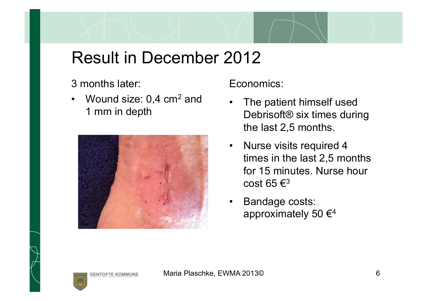### Result in December 2012

#### 3 months later:

• Wound size: 0,4 cm<sup>2</sup> and 1 mm in depth



Economics:

- The patient himself used Debrisoft® six times during the last 2,5 months.
- Nurse visits required 4 times in the last 2,5 months for 15 minutes. Nurse hour cost 65 $\epsilon$ <sup>3</sup>
- Bandage costs: approximately 50  $\epsilon^4$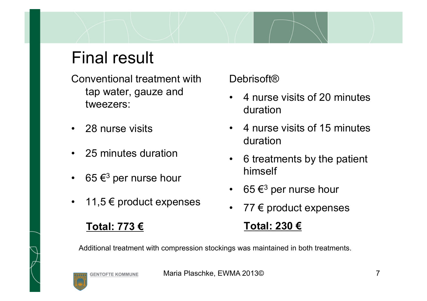## Final result

Conventional treatment with tap water, gauze and tweezers:

- 28 nurse visits
- 25 minutes duration
- 65 $\epsilon$ <sup>3</sup> per nurse hour
- 11,5  $€$  product expenses

### **Total: 773 €**

Debrisoft<sup>®</sup>

- 4 nurse visits of 20 minutes duration
- 4 nurse visits of 15 minutes duration
- 6 treatments by the patient himself
- 65 $\epsilon^3$  per nurse hour
- 77  $\epsilon$  product expenses

### **Total: 230 €**

Additional treatment with compression stockings was maintained in both treatments.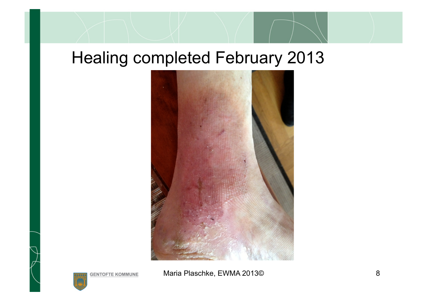### Healing completed February 2013



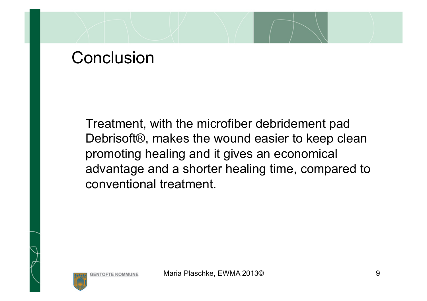### **Conclusion**

Treatment, with the microfiber debridement pad Debrisoft®, makes the wound easier to keep clean promoting healing and it gives an economical advantage and a shorter healing time, compared to conventional treatment.